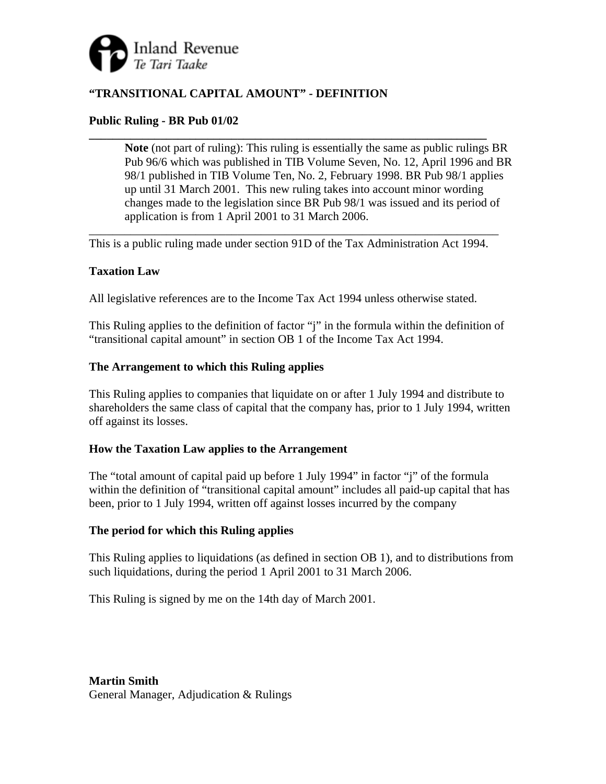

# **"TRANSITIONAL CAPITAL AMOUNT" - DEFINITION**

## **Public Ruling - BR Pub 01/02**

**Note** (not part of ruling): This ruling is essentially the same as public rulings BR Pub 96/6 which was published in TIB Volume Seven, No. 12, April 1996 and BR 98/1 published in TIB Volume Ten, No. 2, February 1998. BR Pub 98/1 applies up until 31 March 2001. This new ruling takes into account minor wording changes made to the legislation since BR Pub 98/1 was issued and its period of application is from 1 April 2001 to 31 March 2006.

\_\_\_\_\_\_\_\_\_\_\_\_\_\_\_\_\_\_\_\_\_\_\_\_\_\_\_\_\_\_\_\_\_\_\_\_\_\_\_\_\_\_\_\_\_\_\_\_\_\_\_\_\_\_\_\_\_\_\_\_\_\_\_\_\_\_\_\_\_ This is a public ruling made under section 91D of the Tax Administration Act 1994.

**\_\_\_\_\_\_\_\_\_\_\_\_\_\_\_\_\_\_\_\_\_\_\_\_\_\_\_\_\_\_\_\_\_\_\_\_\_\_\_\_\_\_\_\_\_\_\_\_\_\_\_\_\_\_\_\_\_\_\_\_\_\_\_\_\_\_\_** 

### **Taxation Law**

All legislative references are to the Income Tax Act 1994 unless otherwise stated.

This Ruling applies to the definition of factor "j" in the formula within the definition of "transitional capital amount" in section OB 1 of the Income Tax Act 1994.

#### **The Arrangement to which this Ruling applies**

This Ruling applies to companies that liquidate on or after 1 July 1994 and distribute to shareholders the same class of capital that the company has, prior to 1 July 1994, written off against its losses.

### **How the Taxation Law applies to the Arrangement**

The "total amount of capital paid up before 1 July 1994" in factor "j" of the formula within the definition of "transitional capital amount" includes all paid-up capital that has been, prior to 1 July 1994, written off against losses incurred by the company

### **The period for which this Ruling applies**

This Ruling applies to liquidations (as defined in section OB 1), and to distributions from such liquidations, during the period 1 April 2001 to 31 March 2006.

This Ruling is signed by me on the 14th day of March 2001.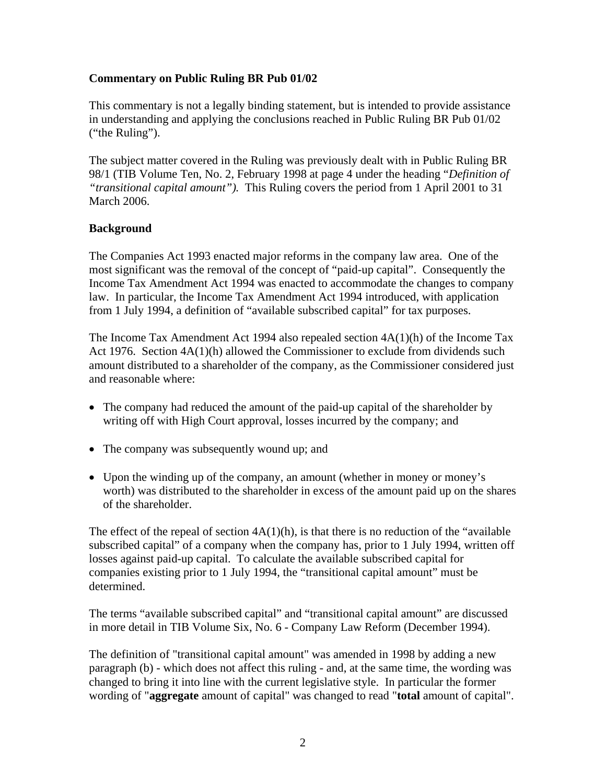## **Commentary on Public Ruling BR Pub 01/02**

This commentary is not a legally binding statement, but is intended to provide assistance in understanding and applying the conclusions reached in Public Ruling BR Pub 01/02 ("the Ruling").

The subject matter covered in the Ruling was previously dealt with in Public Ruling BR 98/1 (TIB Volume Ten, No. 2, February 1998 at page 4 under the heading "*Definition of "transitional capital amount").* This Ruling covers the period from 1 April 2001 to 31 March 2006.

## **Background**

The Companies Act 1993 enacted major reforms in the company law area. One of the most significant was the removal of the concept of "paid-up capital". Consequently the Income Tax Amendment Act 1994 was enacted to accommodate the changes to company law. In particular, the Income Tax Amendment Act 1994 introduced, with application from 1 July 1994, a definition of "available subscribed capital" for tax purposes.

The Income Tax Amendment Act 1994 also repealed section 4A(1)(h) of the Income Tax Act 1976. Section 4A(1)(h) allowed the Commissioner to exclude from dividends such amount distributed to a shareholder of the company, as the Commissioner considered just and reasonable where:

- The company had reduced the amount of the paid-up capital of the shareholder by writing off with High Court approval, losses incurred by the company; and
- The company was subsequently wound up; and
- Upon the winding up of the company, an amount (whether in money or money's worth) was distributed to the shareholder in excess of the amount paid up on the shares of the shareholder.

The effect of the repeal of section  $4A(1)(h)$ , is that there is no reduction of the "available" subscribed capital" of a company when the company has, prior to 1 July 1994, written off losses against paid-up capital. To calculate the available subscribed capital for companies existing prior to 1 July 1994, the "transitional capital amount" must be determined.

The terms "available subscribed capital" and "transitional capital amount" are discussed in more detail in TIB Volume Six, No. 6 - Company Law Reform (December 1994).

The definition of "transitional capital amount" was amended in 1998 by adding a new paragraph (b) - which does not affect this ruling - and, at the same time, the wording was changed to bring it into line with the current legislative style. In particular the former wording of "**aggregate** amount of capital" was changed to read "**total** amount of capital".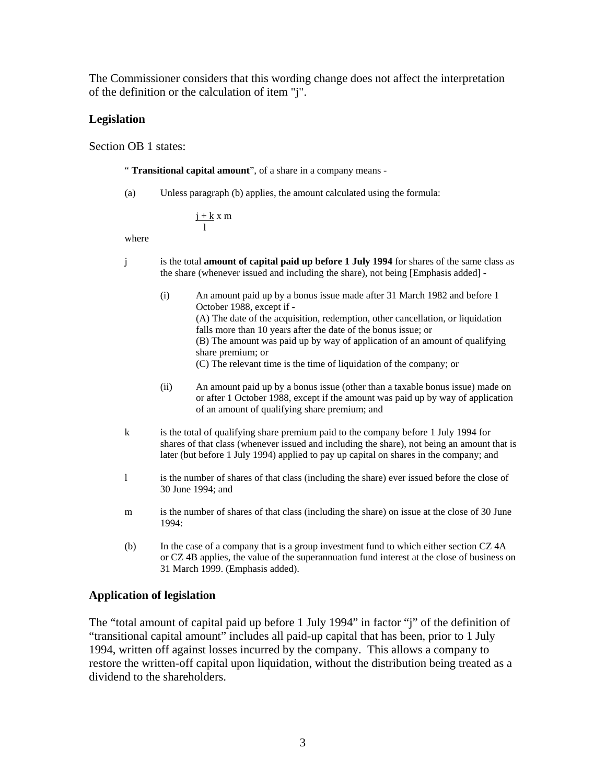The Commissioner considers that this wording change does not affect the interpretation of the definition or the calculation of item "j".

#### **Legislation**

Section OB 1 states:

" **Transitional capital amount**", of a share in a company means -

(a) Unless paragraph (b) applies, the amount calculated using the formula:

$$
\frac{j+k}{l}\,x\;m
$$

where

- j is the total **amount of capital paid up before 1 July 1994** for shares of the same class as the share (whenever issued and including the share), not being [Emphasis added] -
	- (i) An amount paid up by a bonus issue made after 31 March 1982 and before 1 October 1988, except if - (A) The date of the acquisition, redemption, other cancellation, or liquidation falls more than 10 years after the date of the bonus issue; or (B) The amount was paid up by way of application of an amount of qualifying share premium; or (C) The relevant time is the time of liquidation of the company; or
	- (ii) An amount paid up by a bonus issue (other than a taxable bonus issue) made on or after 1 October 1988, except if the amount was paid up by way of application of an amount of qualifying share premium; and
- k is the total of qualifying share premium paid to the company before 1 July 1994 for shares of that class (whenever issued and including the share), not being an amount that is later (but before 1 July 1994) applied to pay up capital on shares in the company; and
- l is the number of shares of that class (including the share) ever issued before the close of 30 June 1994; and
- m is the number of shares of that class (including the share) on issue at the close of 30 June 1994:
- (b) In the case of a company that is a group investment fund to which either section CZ 4A or CZ 4B applies, the value of the superannuation fund interest at the close of business on 31 March 1999. (Emphasis added).

#### **Application of legislation**

The "total amount of capital paid up before 1 July 1994" in factor "j" of the definition of "transitional capital amount" includes all paid-up capital that has been, prior to 1 July 1994, written off against losses incurred by the company. This allows a company to restore the written-off capital upon liquidation, without the distribution being treated as a dividend to the shareholders.